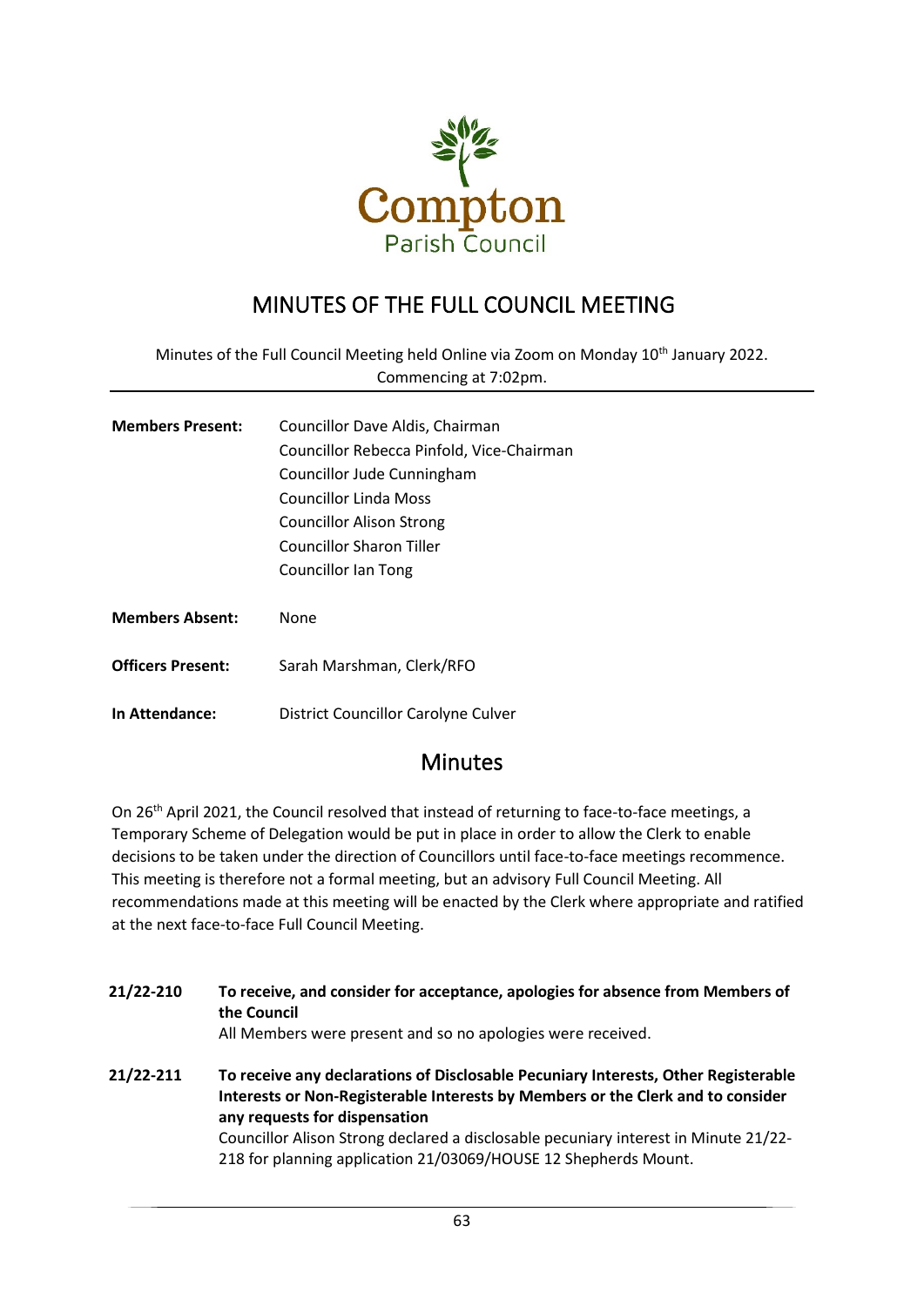

# MINUTES OF THE FULL COUNCIL MEETING

Minutes of the Full Council Meeting held Online via Zoom on Monday 10<sup>th</sup> January 2022. Commencing at 7:02pm.

| <b>Members Present:</b> | Councillor Dave Aldis, Chairman           |  |  |
|-------------------------|-------------------------------------------|--|--|
|                         | Councillor Rebecca Pinfold, Vice-Chairman |  |  |
|                         | Councillor Jude Cunningham                |  |  |
|                         | Councillor Linda Moss                     |  |  |
|                         | <b>Councillor Alison Strong</b>           |  |  |
|                         | Councillor Sharon Tiller                  |  |  |
|                         | Councillor Ian Tong                       |  |  |
|                         |                                           |  |  |
| <b>Members Absent:</b>  | None                                      |  |  |
|                         |                                           |  |  |

**Officers Present:** Sarah Marshman, Clerk/RFO

**In Attendance:** District Councillor Carolyne Culver

### Minutes

On 26<sup>th</sup> April 2021, the Council resolved that instead of returning to face-to-face meetings, a Temporary Scheme of Delegation would be put in place in order to allow the Clerk to enable decisions to be taken under the direction of Councillors until face-to-face meetings recommence. This meeting is therefore not a formal meeting, but an advisory Full Council Meeting. All recommendations made at this meeting will be enacted by the Clerk where appropriate and ratified at the next face-to-face Full Council Meeting.

| 21/22-210 | To receive, and consider for acceptance, apologies for absence from Members of<br>the Council<br>All Members were present and so no apologies were received.                                           |  |  |
|-----------|--------------------------------------------------------------------------------------------------------------------------------------------------------------------------------------------------------|--|--|
| 21/22-211 | To receive any declarations of Disclosable Pecuniary Interests, Other Registerable<br>Interests or Non-Registerable Interests by Members or the Clerk and to consider<br>any requests for dispensation |  |  |
|           | Councillor Alison Strong declared a disclosable pecuniary interest in Minute 21/22-<br>218 for planning application 21/03069/HOUSE 12 Shepherds Mount.                                                 |  |  |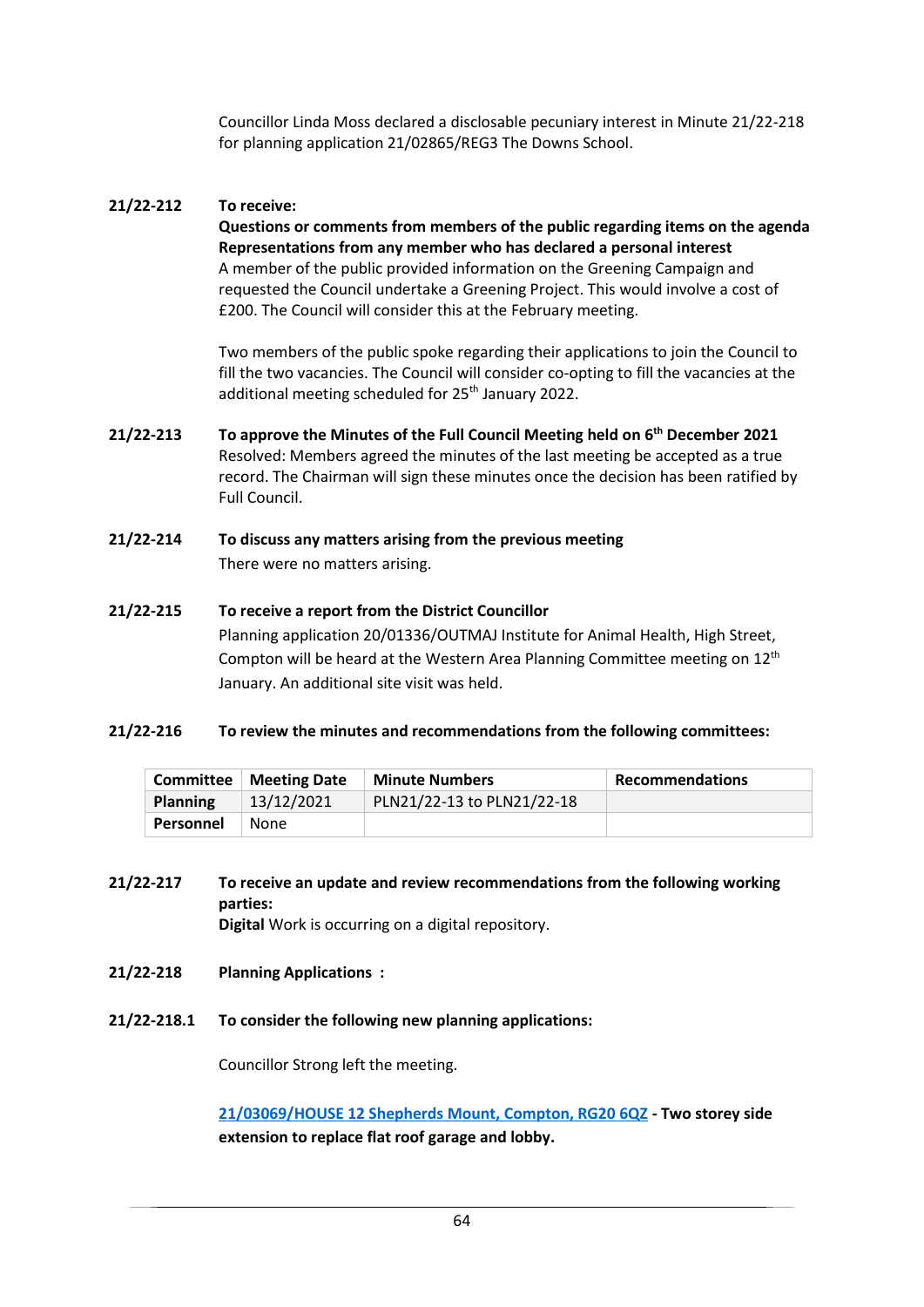Councillor Linda Moss declared a disclosable pecuniary interest in Minute 21/22-218 for planning application 21/02865/REG3 The Downs School.

### **21/22-212 To receive:**

**Questions or comments from members of the public regarding items on the agenda Representations from any member who has declared a personal interest** A member of the public provided information on the Greening Campaign and requested the Council undertake a Greening Project. This would involve a cost of £200. The Council will consider this at the February meeting.

Two members of the public spoke regarding their applications to join the Council to fill the two vacancies. The Council will consider co-opting to fill the vacancies at the additional meeting scheduled for 25<sup>th</sup> January 2022.

- **21/22-213 To approve the Minutes of the Full Council Meeting held on 6 th December 2021**  Resolved: Members agreed the minutes of the last meeting be accepted as a true record. The Chairman will sign these minutes once the decision has been ratified by Full Council.
- **21/22-214 To discuss any matters arising from the previous meeting** There were no matters arising.
- **21/22-215 To receive a report from the District Councillor** Planning application 20/01336/OUTMAJ Institute for Animal Health, High Street, Compton will be heard at the Western Area Planning Committee meeting on 12<sup>th</sup> January. An additional site visit was held.

### **21/22-216 To review the minutes and recommendations from the following committees:**

| <b>Committee</b> | <b>Meeting Date</b> | <b>Minute Numbers</b>      | <b>Recommendations</b> |
|------------------|---------------------|----------------------------|------------------------|
| <b>Planning</b>  | 13/12/2021          | PLN21/22-13 to PLN21/22-18 |                        |
| Personnel        | None                |                            |                        |

- **21/22-217 To receive an update and review recommendations from the following working parties: Digital** Work is occurring on a digital repository.
- **21/22-218 Planning Applications :**
- 
- **21/22-218.1 To consider the following new planning applications:**

Councillor Strong left the meeting.

**[21/03069/HOUSE 12 Shepherds Mount, Compton, RG20 6QZ](http://planning.westberks.gov.uk/rpp/index.asp?caseref=21/03069/HOUSE) - Two storey side extension to replace flat roof garage and lobby.**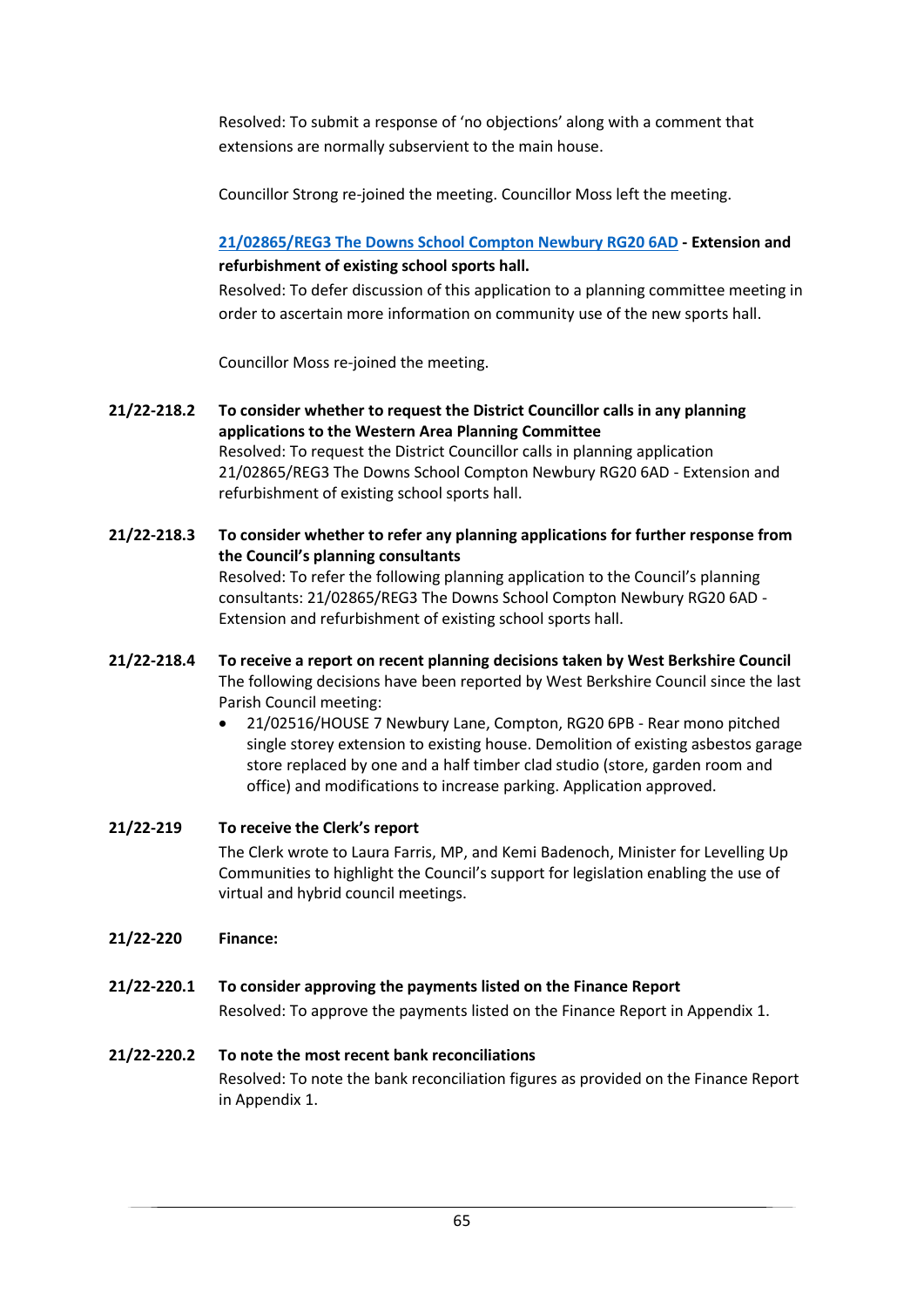Resolved: To submit a response of 'no objections' along with a comment that extensions are normally subservient to the main house.

Councillor Strong re-joined the meeting. Councillor Moss left the meeting.

### **[21/02865/REG3 The Downs School Compton Newbury RG20 6AD](http://planning.westberks.gov.uk/rpp/index.asp?caseref=21/02865/REG3) - Extension and refurbishment of existing school sports hall.**

Resolved: To defer discussion of this application to a planning committee meeting in order to ascertain more information on community use of the new sports hall.

Councillor Moss re-joined the meeting.

- **21/22-218.2 To consider whether to request the District Councillor calls in any planning applications to the Western Area Planning Committee** Resolved: To request the District Councillor calls in planning application 21/02865/REG3 The Downs School Compton Newbury RG20 6AD - Extension and refurbishment of existing school sports hall.
- **21/22-218.3 To consider whether to refer any planning applications for further response from the Council's planning consultants** Resolved: To refer the following planning application to the Council's planning consultants: 21/02865/REG3 The Downs School Compton Newbury RG20 6AD - Extension and refurbishment of existing school sports hall.
- **21/22-218.4 To receive a report on recent planning decisions taken by West Berkshire Council** The following decisions have been reported by West Berkshire Council since the last Parish Council meeting:
	- 21/02516/HOUSE 7 Newbury Lane, Compton, RG20 6PB Rear mono pitched single storey extension to existing house. Demolition of existing asbestos garage store replaced by one and a half timber clad studio (store, garden room and office) and modifications to increase parking. Application approved.
- **21/22-219 To receive the Clerk's report** The Clerk wrote to Laura Farris, MP, and Kemi Badenoch, Minister for Levelling Up Communities to highlight the Council's support for legislation enabling the use of virtual and hybrid council meetings.
- **21/22-220 Finance:**
- **21/22-220.1 To consider approving the payments listed on the Finance Report** Resolved: To approve the payments listed on the Finance Report in Appendix 1.
- **21/22-220.2 To note the most recent bank reconciliations**  Resolved: To note the bank reconciliation figures as provided on the Finance Report in Appendix 1.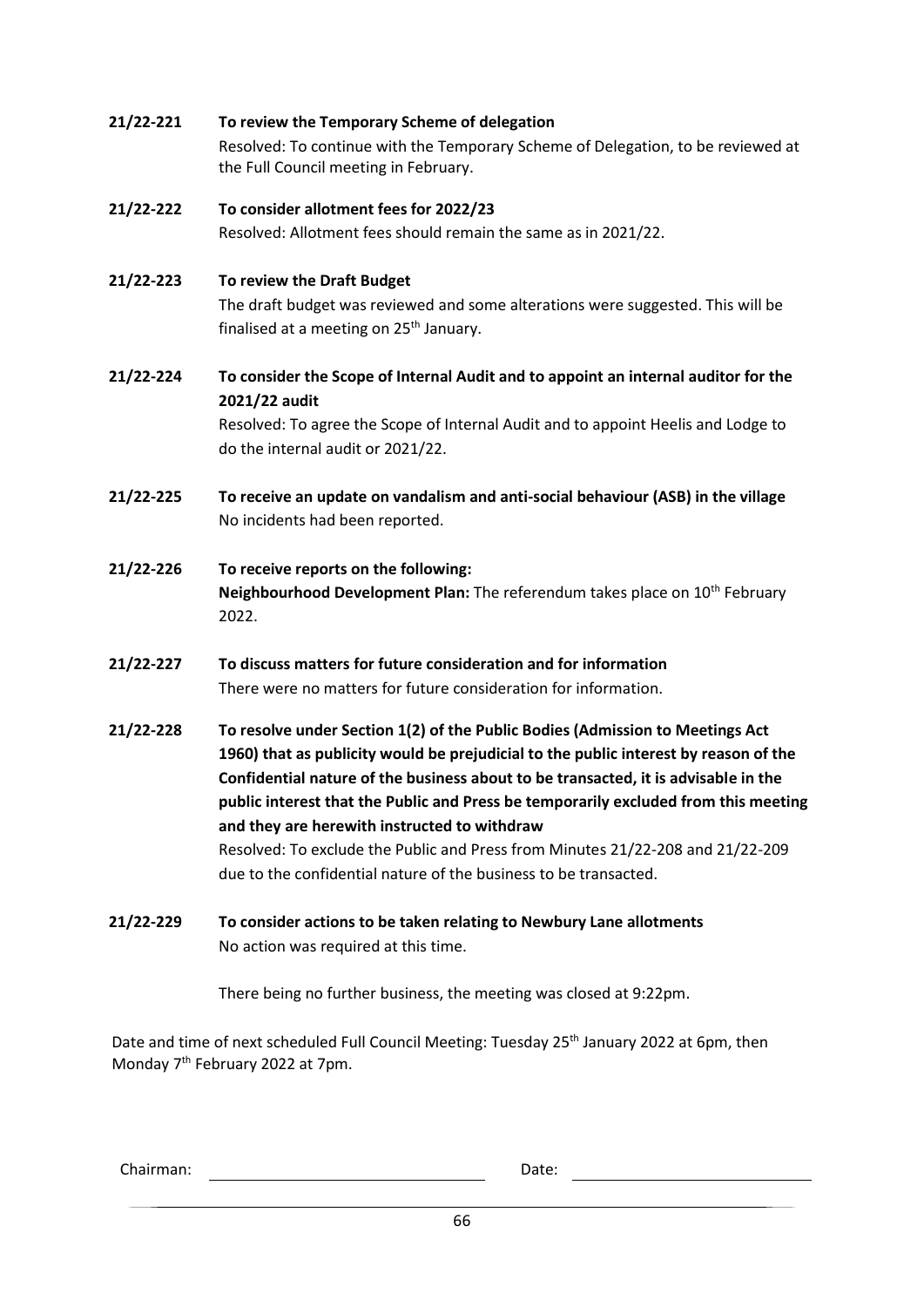| 21/22-221 | To review the Temporary Scheme of delegation                                                                                                                                                                                                                                                                                                                                                                                                                                         |
|-----------|--------------------------------------------------------------------------------------------------------------------------------------------------------------------------------------------------------------------------------------------------------------------------------------------------------------------------------------------------------------------------------------------------------------------------------------------------------------------------------------|
|           | Resolved: To continue with the Temporary Scheme of Delegation, to be reviewed at<br>the Full Council meeting in February.                                                                                                                                                                                                                                                                                                                                                            |
| 21/22-222 | To consider allotment fees for 2022/23                                                                                                                                                                                                                                                                                                                                                                                                                                               |
|           | Resolved: Allotment fees should remain the same as in 2021/22.                                                                                                                                                                                                                                                                                                                                                                                                                       |
| 21/22-223 | To review the Draft Budget                                                                                                                                                                                                                                                                                                                                                                                                                                                           |
|           | The draft budget was reviewed and some alterations were suggested. This will be<br>finalised at a meeting on 25 <sup>th</sup> January.                                                                                                                                                                                                                                                                                                                                               |
| 21/22-224 | To consider the Scope of Internal Audit and to appoint an internal auditor for the<br>2021/22 audit                                                                                                                                                                                                                                                                                                                                                                                  |
|           | Resolved: To agree the Scope of Internal Audit and to appoint Heelis and Lodge to<br>do the internal audit or 2021/22.                                                                                                                                                                                                                                                                                                                                                               |
| 21/22-225 | To receive an update on vandalism and anti-social behaviour (ASB) in the village                                                                                                                                                                                                                                                                                                                                                                                                     |
|           | No incidents had been reported.                                                                                                                                                                                                                                                                                                                                                                                                                                                      |
| 21/22-226 | To receive reports on the following:<br>Neighbourhood Development Plan: The referendum takes place on 10 <sup>th</sup> February<br>2022.                                                                                                                                                                                                                                                                                                                                             |
| 21/22-227 | To discuss matters for future consideration and for information<br>There were no matters for future consideration for information.                                                                                                                                                                                                                                                                                                                                                   |
| 21/22-228 | To resolve under Section 1(2) of the Public Bodies (Admission to Meetings Act<br>1960) that as publicity would be prejudicial to the public interest by reason of the<br>Confidential nature of the business about to be transacted, it is advisable in the<br>public interest that the Public and Press be temporarily excluded from this meeting<br>and they are herewith instructed to withdraw<br>Resolved: To exclude the Public and Press from Minutes 21/22-208 and 21/22-209 |
|           | due to the confidential nature of the business to be transacted.                                                                                                                                                                                                                                                                                                                                                                                                                     |
| 21/22-229 | To consider actions to be taken relating to Newbury Lane allotments                                                                                                                                                                                                                                                                                                                                                                                                                  |
|           | No action was required at this time.                                                                                                                                                                                                                                                                                                                                                                                                                                                 |
|           | There being no further business, the meeting was closed at 9:22pm.                                                                                                                                                                                                                                                                                                                                                                                                                   |
|           | Date and time of next scheduled Full Council Meeting: Tuesday 25 <sup>th</sup> January 2022 at 6pm, then                                                                                                                                                                                                                                                                                                                                                                             |

Date and time of next scheduled Full Council Meeting: Tuesday 25<sup>th</sup> January 2022 at 6pm, then Monday 7<sup>th</sup> February 2022 at 7pm.

Chairman: Date: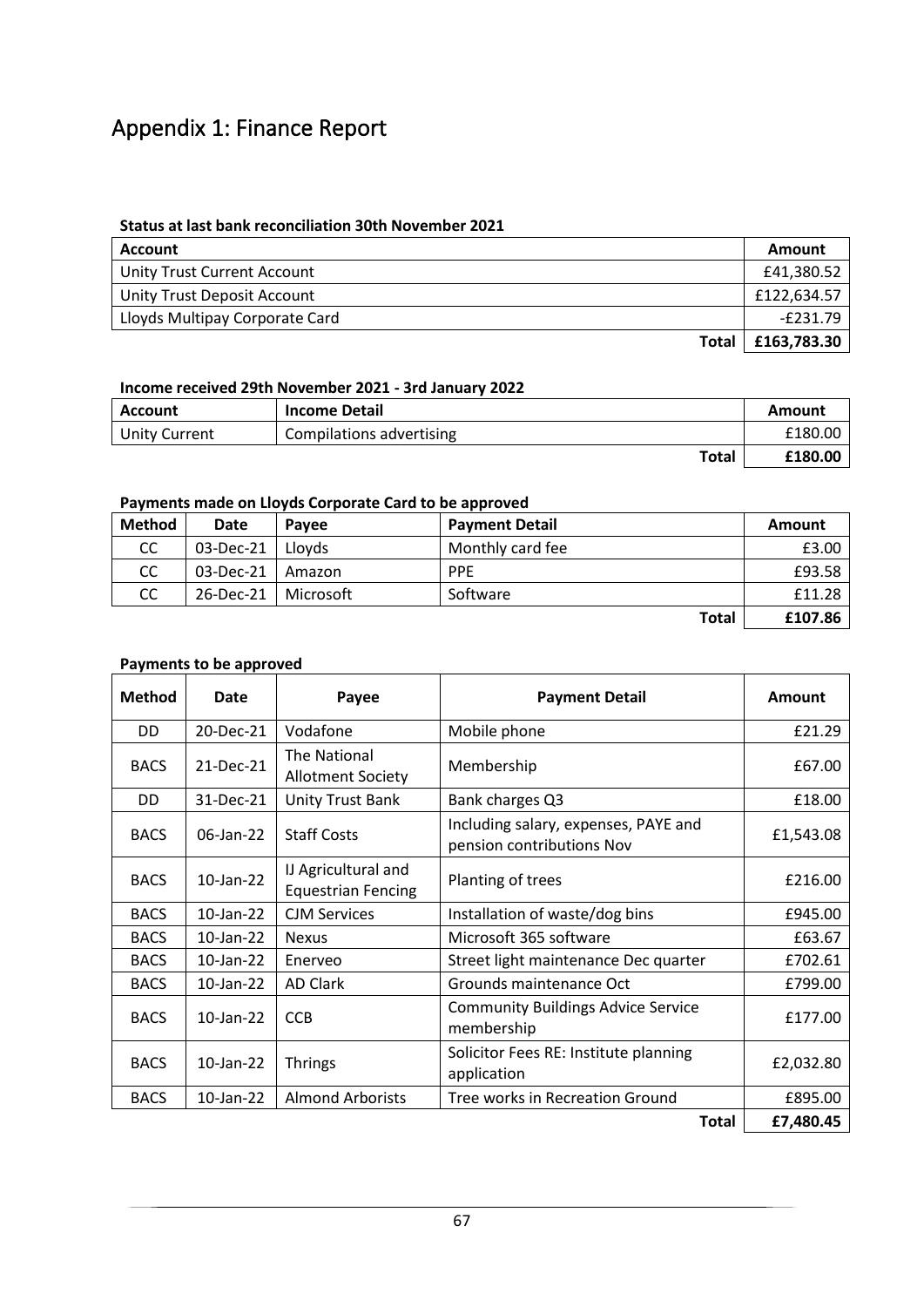# Appendix 1: Finance Report

### **Status at last bank reconciliation 30th November 2021**

| <b>Account</b>                 | Amount      |
|--------------------------------|-------------|
| Unity Trust Current Account    | £41,380.52  |
| Unity Trust Deposit Account    | £122,634.57 |
| Lloyds Multipay Corporate Card | $-E231.79$  |
| <b>Total</b>                   | £163,783.30 |

#### **Income received 29th November 2021 - 3rd January 2022**

| <b>Account</b>       | <b>Income Detail</b>     | Amount  |
|----------------------|--------------------------|---------|
| <b>Unity Current</b> | Compilations advertising | £180.00 |
|                      | Total                    | £180.00 |

### **Payments made on Lloyds Corporate Card to be approved**

| <b>Method</b> | Date      | Pavee     | <b>Payment Detail</b> | <b>Amount</b> |
|---------------|-----------|-----------|-----------------------|---------------|
| <b>CC</b>     | 03-Dec-21 | Llovds    | Monthly card fee      | £3.00         |
| CC.           | 03-Dec-21 | Amazon    | <b>PPE</b>            | £93.58        |
| <b>CC</b>     | 26-Dec-21 | Microsoft | Software              | £11.28        |
|               |           |           | <b>Total</b>          | £107.86       |

#### **Payments to be approved**

| <b>Method</b> | Date            | Payee                                            | <b>Payment Detail</b>                                             | Amount    |
|---------------|-----------------|--------------------------------------------------|-------------------------------------------------------------------|-----------|
| DD.           | 20-Dec-21       | Vodafone                                         | Mobile phone                                                      | £21.29    |
| <b>BACS</b>   | 21-Dec-21       | The National<br><b>Allotment Society</b>         | Membership                                                        | £67.00    |
| DD.           | 31-Dec-21       | Unity Trust Bank                                 | Bank charges Q3                                                   | £18.00    |
| <b>BACS</b>   | 06-Jan-22       | <b>Staff Costs</b>                               | Including salary, expenses, PAYE and<br>pension contributions Nov | £1,543.08 |
| <b>BACS</b>   | 10-Jan-22       | IJ Agricultural and<br><b>Equestrian Fencing</b> | Planting of trees                                                 | £216.00   |
| <b>BACS</b>   | 10-Jan-22       | <b>CJM Services</b>                              | Installation of waste/dog bins                                    | £945.00   |
| <b>BACS</b>   | $10$ -Jan- $22$ | <b>Nexus</b>                                     | Microsoft 365 software                                            | £63.67    |
| <b>BACS</b>   | 10-Jan-22       | Enerveo                                          | Street light maintenance Dec quarter                              | £702.61   |
| <b>BACS</b>   | 10-Jan-22       | <b>AD Clark</b>                                  | Grounds maintenance Oct                                           | £799.00   |
| <b>BACS</b>   | $10$ -Jan- $22$ | <b>CCB</b>                                       | <b>Community Buildings Advice Service</b><br>membership           | £177.00   |
| <b>BACS</b>   | $10$ -Jan-22    | <b>Thrings</b>                                   | Solicitor Fees RE: Institute planning<br>application              | £2,032.80 |
| <b>BACS</b>   | 10-Jan-22       | <b>Almond Arborists</b>                          | Tree works in Recreation Ground                                   | £895.00   |
| <b>Total</b>  |                 |                                                  |                                                                   | £7,480.45 |